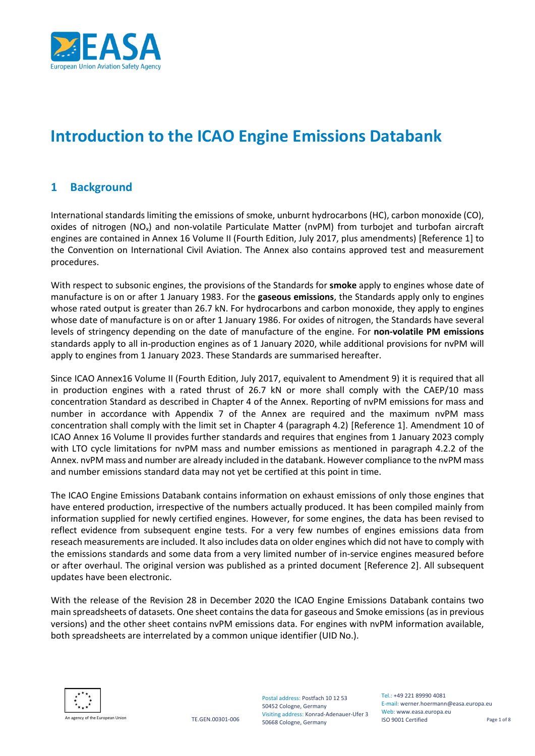

# **Introduction to the ICAO Engine Emissions Databank**

#### **1 Background**

International standards limiting the emissions of smoke, unburnt hydrocarbons (HC), carbon monoxide (CO), oxides of nitrogen (NO<sub>x</sub>) and non-volatile Particulate Matter (nvPM) from turbojet and turbofan aircraft engines are contained in Annex 16 Volume II (Fourth Edition, July 2017, plus amendments) [Reference 1] to the Convention on International Civil Aviation. The Annex also contains approved test and measurement procedures.

With respect to subsonic engines, the provisions of the Standards for **smoke** apply to engines whose date of manufacture is on or after 1 January 1983. For the **gaseous emissions**, the Standards apply only to engines whose rated output is greater than 26.7 kN. For hydrocarbons and carbon monoxide, they apply to engines whose date of manufacture is on or after 1 January 1986. For oxides of nitrogen, the Standards have several levels of stringency depending on the date of manufacture of the engine. For **non-volatile PM emissions** standards apply to all in-production engines as of 1 January 2020, while additional provisions for nvPM will apply to engines from 1 January 2023. These Standards are summarised hereafter.

Since ICAO Annex16 Volume II (Fourth Edition, July 2017, equivalent to Amendment 9) it is required that all in production engines with a rated thrust of 26.7 kN or more shall comply with the CAEP/10 mass concentration Standard as described in Chapter 4 of the Annex. Reporting of nvPM emissions for mass and number in accordance with Appendix 7 of the Annex are required and the maximum nvPM mass concentration shall comply with the limit set in Chapter 4 (paragraph 4.2) [Reference 1]. Amendment 10 of ICAO Annex 16 Volume II provides further standards and requires that engines from 1 January 2023 comply with LTO cycle limitations for nvPM mass and number emissions as mentioned in paragraph 4.2.2 of the Annex. nvPM mass and number are already included in the databank. However compliance to the nvPM mass and number emissions standard data may not yet be certified at this point in time.

The ICAO Engine Emissions Databank contains information on exhaust emissions of only those engines that have entered production, irrespective of the numbers actually produced. It has been compiled mainly from information supplied for newly certified engines. However, for some engines, the data has been revised to reflect evidence from subsequent engine tests. For a very few numbes of engines emissions data from reseach measurements are included. It also includes data on older engines which did not have to comply with the emissions standards and some data from a very limited number of in-service engines measured before or after overhaul. The original version was published as a printed document [Reference 2]. All subsequent updates have been electronic.

With the release of the Revision 28 in December 2020 the ICAO Engine Emissions Databank contains two main spreadsheets of datasets. One sheet contains the data for gaseous and Smoke emissions (as in previous versions) and the other sheet contains nvPM emissions data. For engines with nvPM information available, both spreadsheets are interrelated by a common unique identifier (UID No.).



agency of the European Union TE.GEN.00301-006

Postal address: Postfach 10 12 53 50452 Cologne, Germany Visiting address: Konrad-Adenauer-Ufer 3 50668 Cologne, Germany

Tel.: +49 221 89990 4081 E-mail: werner.hoermann@easa.europa.eu Web: www.easa.europa.eu ISO 9001 Certified Page 1 of 8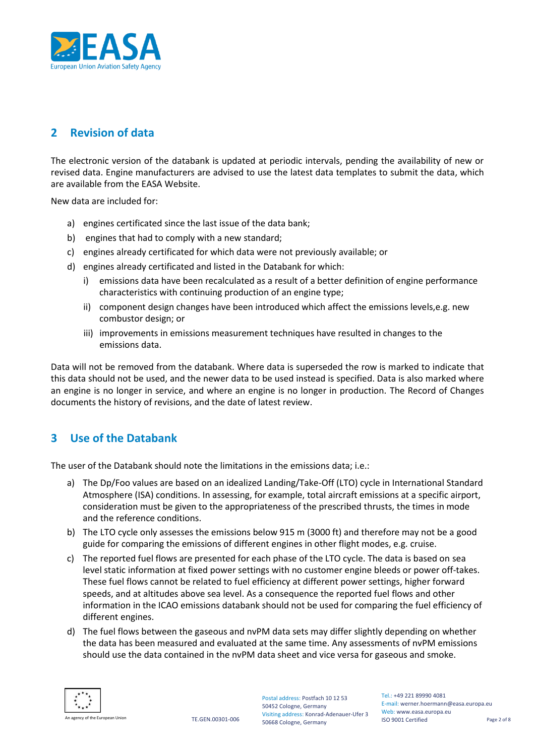

# **2 Revision of data**

The electronic version of the databank is updated at periodic intervals, pending the availability of new or revised data. Engine manufacturers are advised to use the latest data templates to submit the data, which are available from the EASA Website.

New data are included for:

- a) engines certificated since the last issue of the data bank;
- b) engines that had to comply with a new standard;
- c) engines already certificated for which data were not previously available; or
- d) engines already certificated and listed in the Databank for which:
	- i) emissions data have been recalculated as a result of a better definition of engine performance characteristics with continuing production of an engine type;
	- ii) component design changes have been introduced which affect the emissions levels,e.g. new combustor design; or
	- iii) improvements in emissions measurement techniques have resulted in changes to the emissions data.

Data will not be removed from the databank. Where data is superseded the row is marked to indicate that this data should not be used, and the newer data to be used instead is specified. Data is also marked where an engine is no longer in service, and where an engine is no longer in production. The Record of Changes documents the history of revisions, and the date of latest review.

## **3 Use of the Databank**

The user of the Databank should note the limitations in the emissions data; i.e.:

- a) The Dp/Foo values are based on an idealized Landing/Take-Off (LTO) cycle in International Standard Atmosphere (ISA) conditions. In assessing, for example, total aircraft emissions at a specific airport, consideration must be given to the appropriateness of the prescribed thrusts, the times in mode and the reference conditions.
- b) The LTO cycle only assesses the emissions below 915 m (3000 ft) and therefore may not be a good guide for comparing the emissions of different engines in other flight modes, e.g. cruise.
- c) The reported fuel flows are presented for each phase of the LTO cycle. The data is based on sea level static information at fixed power settings with no customer engine bleeds or power off-takes. These fuel flows cannot be related to fuel efficiency at different power settings, higher forward speeds, and at altitudes above sea level. As a consequence the reported fuel flows and other information in the ICAO emissions databank should not be used for comparing the fuel efficiency of different engines.
- d) The fuel flows between the gaseous and nvPM data sets may differ slightly depending on whether the data has been measured and evaluated at the same time. Any assessments of nvPM emissions should use the data contained in the nvPM data sheet and vice versa for gaseous and smoke.



Postal address: Postfach 10 12 53 50452 Cologne, Germany Visiting address: Konrad-Adenauer-Ufer 3 50668 Cologne, Germany

Tel.: +49 221 89990 4081 E-mail: werner.hoermann@easa.europa.eu Web: www.easa.europa.eu ISO 9001 Certified Page 2 of 8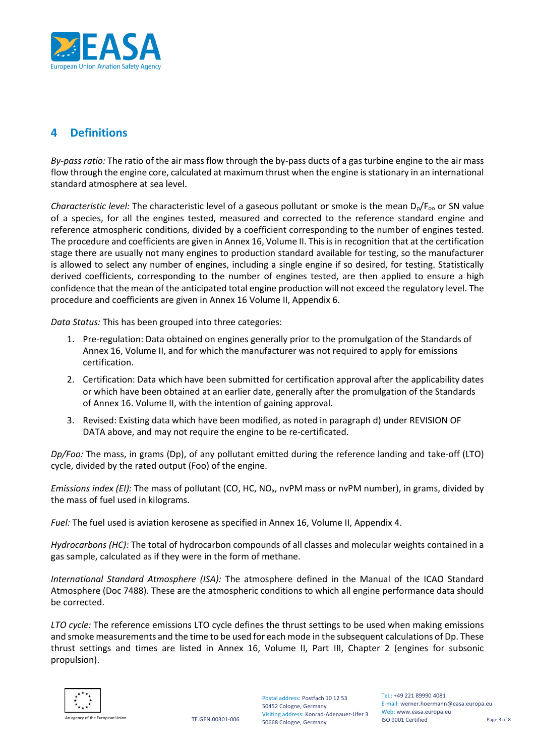

## **4 Definitions**

*By-pass ratio:* The ratio of the air mass flow through the by-pass ducts of a gas turbine engine to the air mass flow through the engine core, calculated at maximum thrust when the engine is stationary in an international standard atmosphere at sea level.

*Characteristic level:* The characteristic level of a gaseous pollutant or smoke is the mean  $D_p/F_{oo}$  or SN value of a species, for all the engines tested, measured and corrected to the reference standard engine and reference atmospheric conditions, divided by a coefficient corresponding to the number of engines tested. The procedure and coefficients are given in Annex 16, Volume II. This is in recognition that at the certification stage there are usually not many engines to production standard available for testing, so the manufacturer is allowed to select any number of engines, including a single engine if so desired, for testing. Statistically derived coefficients, corresponding to the number of engines tested, are then applied to ensure a high confidence that the mean of the anticipated total engine production will not exceed the regulatory level. The procedure and coefficients are given in Annex 16 Volume II, Appendix 6.

*Data Status:* This has been grouped into three categories:

- 1. Pre-regulation: Data obtained on engines generally prior to the promulgation of the Standards of Annex 16, Volume II, and for which the manufacturer was not required to apply for emissions certification.
- 2. Certification: Data which have been submitted for certification approval after the applicability dates or which have been obtained at an earlier date, generally after the promulgation of the Standards of Annex 16. Volume II, with the intention of gaining approval.
- 3. Revised: Existing data which have been modified, as noted in paragraph d) under REVISION OF DATA above, and may not require the engine to be re-certificated.

*Dp/Foo:* The mass, in grams (Dp), of any pollutant emitted during the reference landing and take-off (LTO) cycle, divided by the rated output (Foo) of the engine.

*Emissions index (EI):* The mass of pollutant (CO, HC, NO<sub>x</sub>, nvPM mass or nvPM number), in grams, divided by the mass of fuel used in kilograms.

*Fuel:* The fuel used is aviation kerosene as specified in Annex 16, Volume II, Appendix 4.

*Hydrocarbons (HC):* The total of hydrocarbon compounds of all classes and molecular weights contained in a gas sample, calculated as if they were in the form of methane.

*International Standard Atmosphere (ISA):* The atmosphere defined in the Manual of the ICAO Standard Atmosphere (Doc 7488). These are the atmospheric conditions to which all engine performance data should be corrected.

*LTO cycle:* The reference emissions LTO cycle defines the thrust settings to be used when making emissions and smoke measurements and the time to be used for each mode in the subsequent calculations of Dp. These thrust settings and times are listed in Annex 16, Volume II, Part III, Chapter 2 (engines for subsonic propulsion).

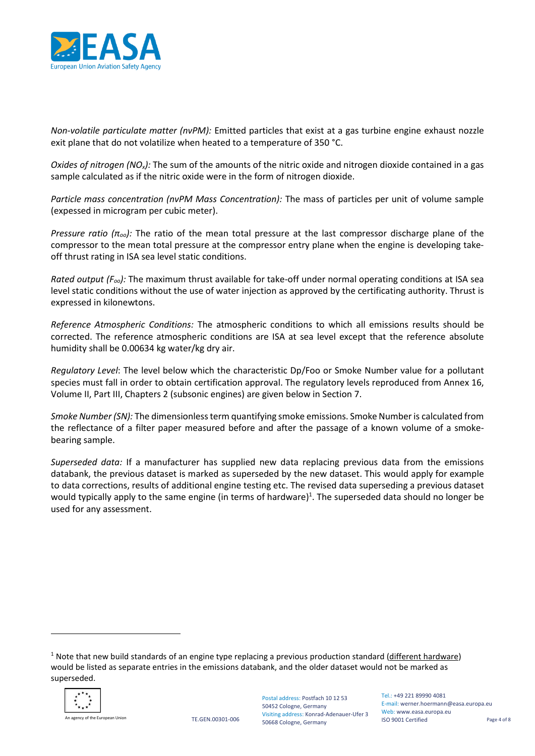

*Non-volatile particulate matter (nvPM):* Emitted particles that exist at a gas turbine engine exhaust nozzle exit plane that do not volatilize when heated to a temperature of 350 °C.

*Oxides of nitrogen (NOx):* The sum of the amounts of the nitric oxide and nitrogen dioxide contained in a gas sample calculated as if the nitric oxide were in the form of nitrogen dioxide.

*Particle mass concentration (nvPM Mass Concentration):* The mass of particles per unit of volume sample (expessed in microgram per cubic meter).

*Pressure ratio (πoo):* The ratio of the mean total pressure at the last compressor discharge plane of the compressor to the mean total pressure at the compressor entry plane when the engine is developing takeoff thrust rating in ISA sea level static conditions.

*Rated output (Foo):* The maximum thrust available for take-off under normal operating conditions at ISA sea level static conditions without the use of water injection as approved by the certificating authority. Thrust is expressed in kilonewtons.

*Reference Atmospheric Conditions:* The atmospheric conditions to which all emissions results should be corrected. The reference atmospheric conditions are ISA at sea level except that the reference absolute humidity shall be 0.00634 kg water/kg dry air.

*Regulatory Level*: The level below which the characteristic Dp/Foo or Smoke Number value for a pollutant species must fall in order to obtain certification approval. The regulatory levels reproduced from Annex 16, Volume II, Part III, Chapters 2 (subsonic engines) are given below in Section 7.

*Smoke Number (SN):* The dimensionless term quantifying smoke emissions. Smoke Number is calculated from the reflectance of a filter paper measured before and after the passage of a known volume of a smokebearing sample.

*Superseded data:* If a manufacturer has supplied new data replacing previous data from the emissions databank, the previous dataset is marked as superseded by the new dataset. This would apply for example to data corrections, results of additional engine testing etc. The revised data superseding a previous dataset would typically apply to the same engine (in terms of hardware)<sup>1</sup>. The superseded data should no longer be used for any assessment.

 $1$  Note that new build standards of an engine type replacing a previous production standard (different hardware) would be listed as separate entries in the emissions databank, and the older dataset would not be marked as superseded.



An agency of the European Union TE.GEN.00301-006

Tel.: +49 221 89990 4081 E-mail: werner.hoermann@easa.europa.eu Web: www.easa.europa.eu ISO 9001 Certified Page 4 of 8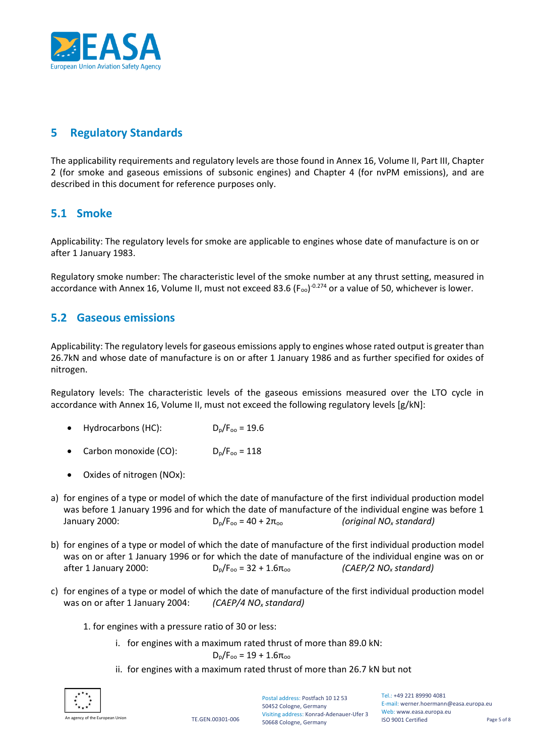

## **5 Regulatory Standards**

The applicability requirements and regulatory levels are those found in Annex 16, Volume II, Part III, Chapter 2 (for smoke and gaseous emissions of subsonic engines) and Chapter 4 (for nvPM emissions), and are described in this document for reference purposes only.

## **5.1 Smoke**

Applicability: The regulatory levels for smoke are applicable to engines whose date of manufacture is on or after 1 January 1983.

Regulatory smoke number: The characteristic level of the smoke number at any thrust setting, measured in accordance with Annex 16, Volume II, must not exceed 83.6 (F<sub>oo</sub>)<sup>-0.274</sup> or a value of 50, whichever is lower.

#### **5.2 Gaseous emissions**

Applicability: The regulatory levels for gaseous emissions apply to engines whose rated output is greater than 26.7kN and whose date of manufacture is on or after 1 January 1986 and as further specified for oxides of nitrogen.

Regulatory levels: The characteristic levels of the gaseous emissions measured over the LTO cycle in accordance with Annex 16, Volume II, must not exceed the following regulatory levels [g/kN]:

- Hydrocarbons (HC):  $D_p/F_{op} = 19.6$
- Carbon monoxide (CO):  $D_p/F_{op} = 118$
- Oxides of nitrogen (NOx):
- a) for engines of a type or model of which the date of manufacture of the first individual production model was before 1 January 1996 and for which the date of manufacture of the individual engine was before 1 January 2000:  $D_0/F_{00} = 40 + 2π_{00}$  *(original NO<sub>x</sub> standard)*
- b) for engines of a type or model of which the date of manufacture of the first individual production model was on or after 1 January 1996 or for which the date of manufacture of the individual engine was on or after 1 January 2000:  $D_0/F_{00} = 32 + 1.6\pi_{00}$  *(CAEP/2 NO<sub>x</sub> standard)*
- c) for engines of a type or model of which the date of manufacture of the first individual production model was on or after 1 January 2004: *(CAEP/4 NO<sup>x</sup> standard)*
	- 1. for engines with a pressure ratio of 30 or less:
		- i. for engines with a maximum rated thrust of more than 89.0 kN:

 $D_p/F_{oo} = 19 + 1.6π_{oo}$ 

ii. for engines with a maximum rated thrust of more than 26.7 kN but not



agency of the European Union TE.GEN.00301-006

Postal address: Postfach 10 12 53 50452 Cologne, Germany Visiting address: Konrad-Adenauer-Ufer 3 50668 Cologne, Germany

Tel.: +49 221 89990 4081 E-mail: werner.hoermann@easa.europa.eu Web: www.easa.europa.eu ISO 9001 Certified Page 5 of 8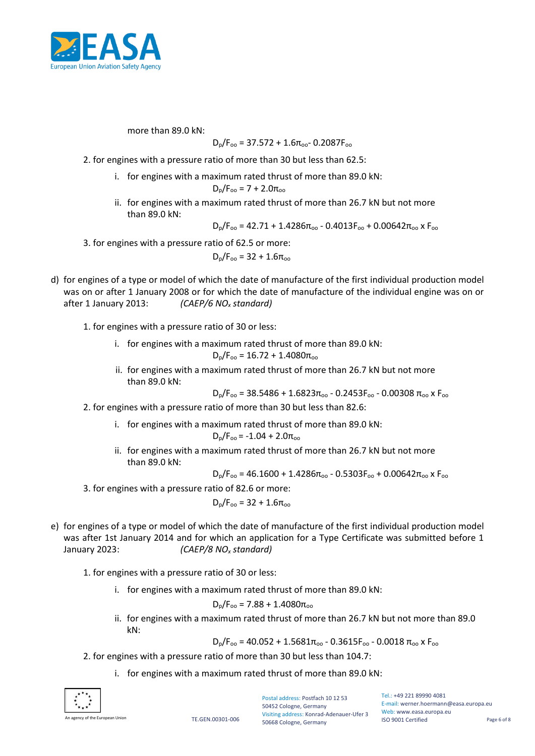

more than 89.0 kN:

$$
D_p/F_{oo} = 37.572 + 1.6\pi_{oo} - 0.2087F_{oo}
$$

2. for engines with a pressure ratio of more than 30 but less than 62.5:

- i. for engines with a maximum rated thrust of more than 89.0 kN:  $D_p/F_{oo} = 7 + 2.0π_{oo}$
- ii. for engines with a maximum rated thrust of more than 26.7 kN but not more than 89.0 kN:

 $D_p/F_{oo}$  = 42.71 + 1.4286 $\pi_{oo}$  - 0.4013 $F_{oo}$  + 0.00642 $\pi_{oo}$  x  $F_{oo}$ 

3. for engines with a pressure ratio of 62.5 or more:

 $D_p/F_{op} = 32 + 1.6\pi_{op}$ 

- d) for engines of a type or model of which the date of manufacture of the first individual production model was on or after 1 January 2008 or for which the date of manufacture of the individual engine was on or after 1 January 2013: *(CAEP/6 NO<sup>x</sup> standard)*
	- 1. for engines with a pressure ratio of 30 or less:
		- i. for engines with a maximum rated thrust of more than 89.0 kN:

 $D_p/F_{oo} = 16.72 + 1.4080$ π<sub>oo</sub>

ii. for engines with a maximum rated thrust of more than 26.7 kN but not more than 89.0 kN:

 $D_p/F_{oo}$  = 38.5486 + 1.6823π<sub>oo</sub> - 0.2453F<sub>oo</sub> - 0.00308 π<sub>oo</sub> x F<sub>oo</sub>

- 2. for engines with a pressure ratio of more than 30 but less than 82.6:
	- i. for engines with a maximum rated thrust of more than 89.0 kN:

$$
D_p/F_{oo} = -1.04 + 2.0\pi_{oo}
$$

ii. for engines with a maximum rated thrust of more than 26.7 kN but not more than 89.0 kN $\cdot$ 

$$
D_p/F_{oo} = 46.1600 + 1.4286\pi_{oo} - 0.5303F_{oo} + 0.00642\pi_{oo} \times F_{oo}
$$

3. for engines with a pressure ratio of 82.6 or more:

$$
D_p/F_{oo} = 32 + 1.6\pi_{oo}
$$

e) for engines of a type or model of which the date of manufacture of the first individual production model was after 1st January 2014 and for which an application for a Type Certificate was submitted before 1 January 2023: *(CAEP/8 NO<sup>x</sup> standard)*

1. for engines with a pressure ratio of 30 or less:

i. for engines with a maximum rated thrust of more than 89.0 kN:

 $D_p/F_{oo} = 7.88 + 1.4080\pi_{oo}$ 

ii. for engines with a maximum rated thrust of more than 26.7 kN but not more than 89.0 kN:

 $D_p/F_{oo}$  = 40.052 + 1.5681 $\pi_{oo}$  - 0.3615 $F_{oo}$  - 0.0018  $\pi_{oo}$  x  $F_{oo}$ 

- 2. for engines with a pressure ratio of more than 30 but less than 104.7:
	- i. for engines with a maximum rated thrust of more than 89.0 kN:



agency of the European Union TE.GEN.00301-006

Postal address: Postfach 10 12 53 50452 Cologne, Germany Visiting address: Konrad-Adenauer-Ufer 3 50668 Cologne, Germany

Tel.: +49 221 89990 4081 E-mail: werner.hoermann@easa.europa.eu Web: www.easa.europa.eu ISO 9001 Certified Page 6 of 8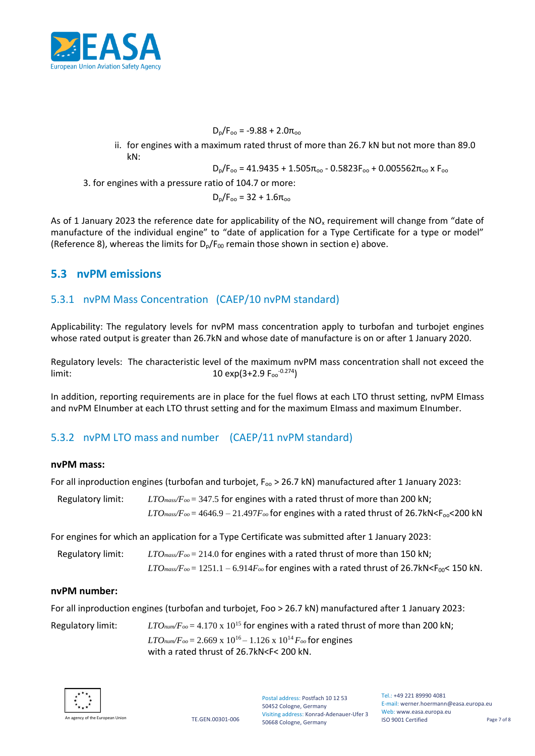

 $D_p/F_{oo} = -9.88 + 2.0\pi_{oo}$ 

ii. for engines with a maximum rated thrust of more than 26.7 kN but not more than 89.0 kN:

 $D_p/F_{oo}$  = 41.9435 + 1.505π<sub>oo</sub> - 0.5823F<sub>oo</sub> + 0.005562π<sub>oo</sub> x F<sub>oo</sub>

3. for engines with a pressure ratio of 104.7 or more:

 $D_p/F_{oo}$  = 32 + 1.6π<sub>oo</sub>

As of 1 January 2023 the reference date for applicability of the  $NO<sub>x</sub>$  requirement will change from "date of manufacture of the individual engine" to "date of application for a Type Certificate for a type or model" (Reference 8), whereas the limits for  $D_p/F_{00}$  remain those shown in section e) above.

## **5.3 nvPM emissions**

#### 5.3.1 nvPM Mass Concentration (CAEP/10 nvPM standard)

Applicability: The regulatory levels for nvPM mass concentration apply to turbofan and turbojet engines whose rated output is greater than 26.7kN and whose date of manufacture is on or after 1 January 2020.

Regulatory levels: The characteristic level of the maximum nvPM mass concentration shall not exceed the  $\mu$  limit:  $10 \exp(3+2.9 \text{ F}_{\text{oo}}^{-0.274})$ 

In addition, reporting requirements are in place for the fuel flows at each LTO thrust setting, nvPM EImass and nvPM EInumber at each LTO thrust setting and for the maximum EImass and maximum EInumber.

## 5.3.2 nvPM LTO mass and number (CAEP/11 nvPM standard)

#### **nvPM mass:**

For all inproduction engines (turbofan and turbojet,  $F_{\rm oo}$  > 26.7 kN) manufactured after 1 January 2023:

| Regulatory limit: | $LTO$ <sub>mass</sub> / $F_{oo}$ = 347.5 for engines with a rated thrust of more than 200 kN;                                     |
|-------------------|-----------------------------------------------------------------------------------------------------------------------------------|
|                   | $LTO$ <sub>mass</sub> / $F_{oo}$ = 4646.9 – 21.497 $F_{oo}$ for engines with a rated thrust of 26.7kN <f<sub>oo&lt;200 kN</f<sub> |

For engines for which an application for a Type Certificate was submitted after 1 January 2023:

| Regulatory limit: | $LTO$ <sub>mass</sub> /F <sub>oo</sub> = 214.0 for engines with a rated thrust of more than 150 kN;                |
|-------------------|--------------------------------------------------------------------------------------------------------------------|
|                   | $LTO_{mass}/F_{oo} = 1251.1 - 6.914F_{oo}$ for engines with a rated thrust of 26.7kN <f<sub>00&lt; 150 kN.</f<sub> |

#### **nvPM number:**

For all inproduction engines (turbofan and turbojet, Foo > 26.7 kN) manufactured after 1 January 2023:

Regulatory limit:  $LTO_{num}/F_{oo} = 4.170 \times 10^{15}$  for engines with a rated thrust of more than 200 kN;  $LTO<sub>num</sub>/F<sub>oo</sub> = 2.669 \times 10^{16} - 1.126 \times 10^{14} F<sub>oo</sub>$  for engines with a rated thrust of 26.7kN<F< 200 kN.



Tel.: +49 221 89990 4081 E-mail: werner.hoermann@easa.europa.eu Web: www.easa.europa.eu ISO 9001 Certified Page 7 of 8